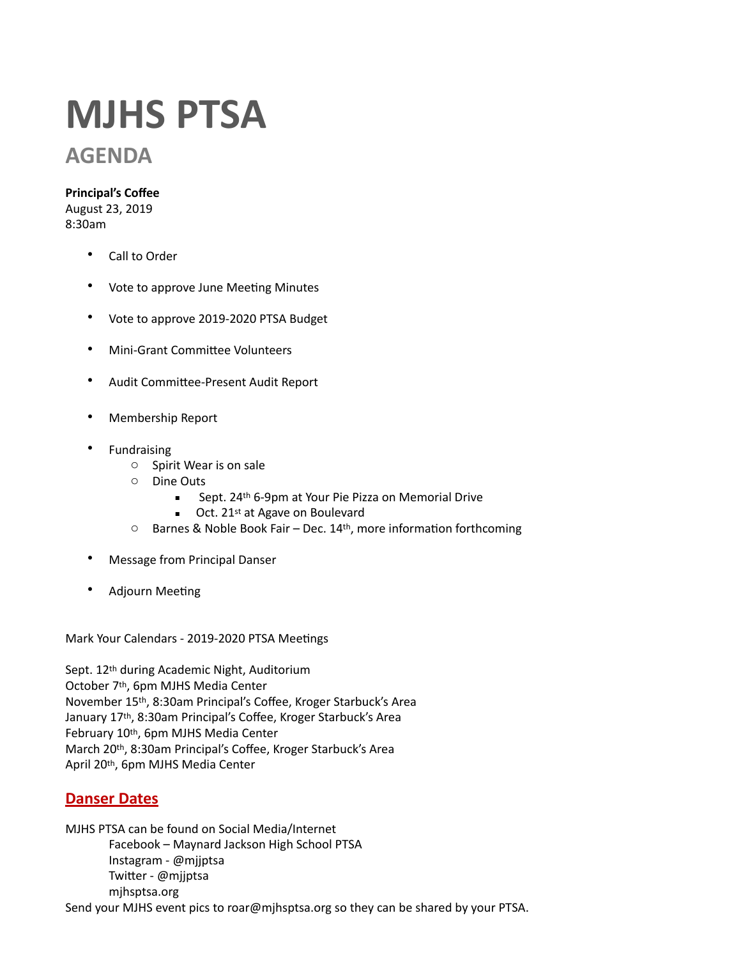# **MJHS PTSA**

# **AGENDA**

#### **Principal's Coffee**

August 23, 2019 8:30am 

- Call to Order
- Vote to approve June Meeting Minutes
- Vote to approve 2019-2020 PTSA Budget
- Mini-Grant Committee Volunteers
- Audit Committee-Present Audit Report
- Membership Report
- **Fundraising** 
	- $\circ$  Spirit Wear is on sale
	- o Dine Outs
		- Sept. 24<sup>th</sup> 6-9pm at Your Pie Pizza on Memorial Drive
		- $\blacksquare$  Oct. 21<sup>st</sup> at Agave on Boulevard
	- $\circ$  Barnes & Noble Book Fair Dec. 14<sup>th</sup>, more information forthcoming
- Message from Principal Danser
- Adjourn Meeting

Mark Your Calendars - 2019-2020 PTSA Meetings

Sept. 12<sup>th</sup> during Academic Night, Auditorium October 7<sup>th</sup>, 6pm MJHS Media Center November 15<sup>th</sup>, 8:30am Principal's Coffee, Kroger Starbuck's Area January 17<sup>th</sup>, 8:30am Principal's Coffee, Kroger Starbuck's Area February 10th, 6pm MJHS Media Center March 20th, 8:30am Principal's Coffee, Kroger Starbuck's Area April 20th, 6pm MJHS Media Center

### **Danser Dates**

MJHS PTSA can be found on Social Media/Internet Facebook - Maynard Jackson High School PTSA Instagram - @mjjptsa Twitter - @mjjptsa mjhsptsa.org Send your MJHS event pics to roar@mjhsptsa.org so they can be shared by your PTSA.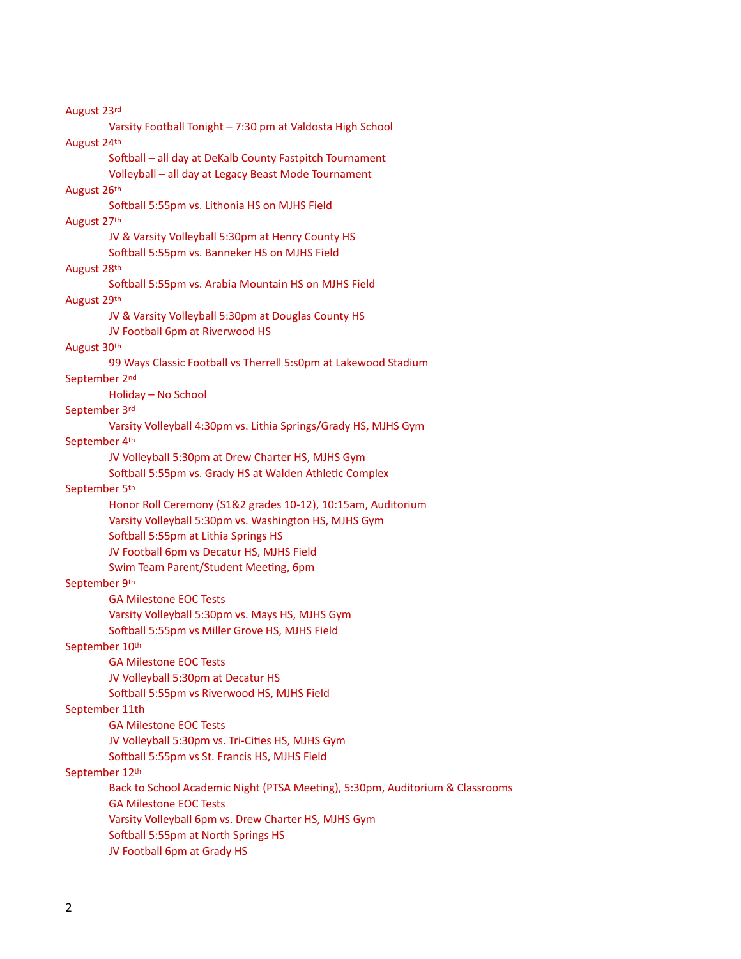August 23rd Varsity Football Tonight - 7:30 pm at Valdosta High School August 24th Softball – all day at DeKalb County Fastpitch Tournament Volleyball - all day at Legacy Beast Mode Tournament August 26th Softball 5:55pm vs. Lithonia HS on MJHS Field August 27th JV & Varsity Volleyball 5:30pm at Henry County HS Softball 5:55pm vs. Banneker HS on MJHS Field August 28th Softball 5:55pm vs. Arabia Mountain HS on MJHS Field August 29th JV & Varsity Volleyball 5:30pm at Douglas County HS JV Football 6pm at Riverwood HS August 30th 99 Ways Classic Football vs Therrell 5:s0pm at Lakewood Stadium September 2<sup>nd</sup> Holiday - No School September 3rd Varsity Volleyball 4:30pm vs. Lithia Springs/Grady HS, MJHS Gym September 4th JV Volleyball 5:30pm at Drew Charter HS, MJHS Gym Softball 5:55pm vs. Grady HS at Walden Athletic Complex September 5th Honor Roll Ceremony (S1&2 grades 10-12), 10:15am, Auditorium Varsity Volleyball 5:30pm vs. Washington HS, MJHS Gym Softball 5:55pm at Lithia Springs HS JV Football 6pm vs Decatur HS, MJHS Field Swim Team Parent/Student Meeting, 6pm September 9th **GA Milestone EOC Tests** Varsity Volleyball 5:30pm vs. Mays HS, MJHS Gym Softball 5:55pm vs Miller Grove HS, MJHS Field September 10th GA Milestone EOC Tests JV Volleyball 5:30pm at Decatur HS Softball 5:55pm vs Riverwood HS, MJHS Field September 11th **GA Milestone EOC Tests** JV Volleyball 5:30pm vs. Tri-Cities HS, MJHS Gym Softball 5:55pm vs St. Francis HS, MJHS Field September 12th Back to School Academic Night (PTSA Meeting), 5:30pm, Auditorium & Classrooms **GA Milestone EOC Tests** Varsity Volleyball 6pm vs. Drew Charter HS, MJHS Gym Softball 5:55pm at North Springs HS JV Football 6pm at Grady HS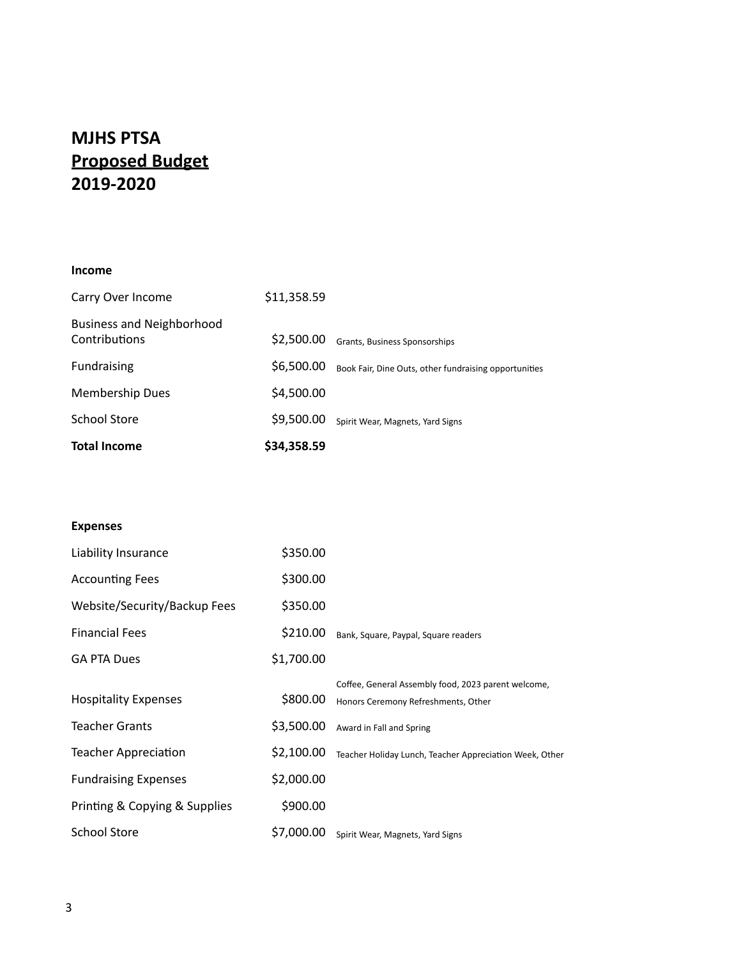## **MJHS PTSA Proposed Budget 2019-2020**

#### **Income**

| <b>Total Income</b>                               | \$34,358.59 |                                                       |
|---------------------------------------------------|-------------|-------------------------------------------------------|
| <b>School Store</b>                               | \$9,500.00  | Spirit Wear, Magnets, Yard Signs                      |
| <b>Membership Dues</b>                            | \$4,500.00  |                                                       |
| Fundraising                                       | \$6,500.00  | Book Fair, Dine Outs, other fundraising opportunities |
| <b>Business and Neighborhood</b><br>Contributions | \$2,500.00  | Grants, Business Sponsorships                         |
| Carry Over Income                                 | \$11,358.59 |                                                       |

#### **Expenses**

| Liability Insurance           | \$350.00   |                                                         |
|-------------------------------|------------|---------------------------------------------------------|
| <b>Accounting Fees</b>        | \$300.00   |                                                         |
| Website/Security/Backup Fees  | \$350.00   |                                                         |
| <b>Financial Fees</b>         | \$210.00   | Bank, Square, Paypal, Square readers                    |
| <b>GA PTA Dues</b>            | \$1,700.00 |                                                         |
|                               |            | Coffee, General Assembly food, 2023 parent welcome,     |
| <b>Hospitality Expenses</b>   | \$800.00   | Honors Ceremony Refreshments, Other                     |
| <b>Teacher Grants</b>         | \$3,500.00 | Award in Fall and Spring                                |
| <b>Teacher Appreciation</b>   | \$2,100.00 | Teacher Holiday Lunch, Teacher Appreciation Week, Other |
| <b>Fundraising Expenses</b>   | \$2,000.00 |                                                         |
| Printing & Copying & Supplies | \$900.00   |                                                         |
| <b>School Store</b>           | \$7,000.00 | Spirit Wear, Magnets, Yard Signs                        |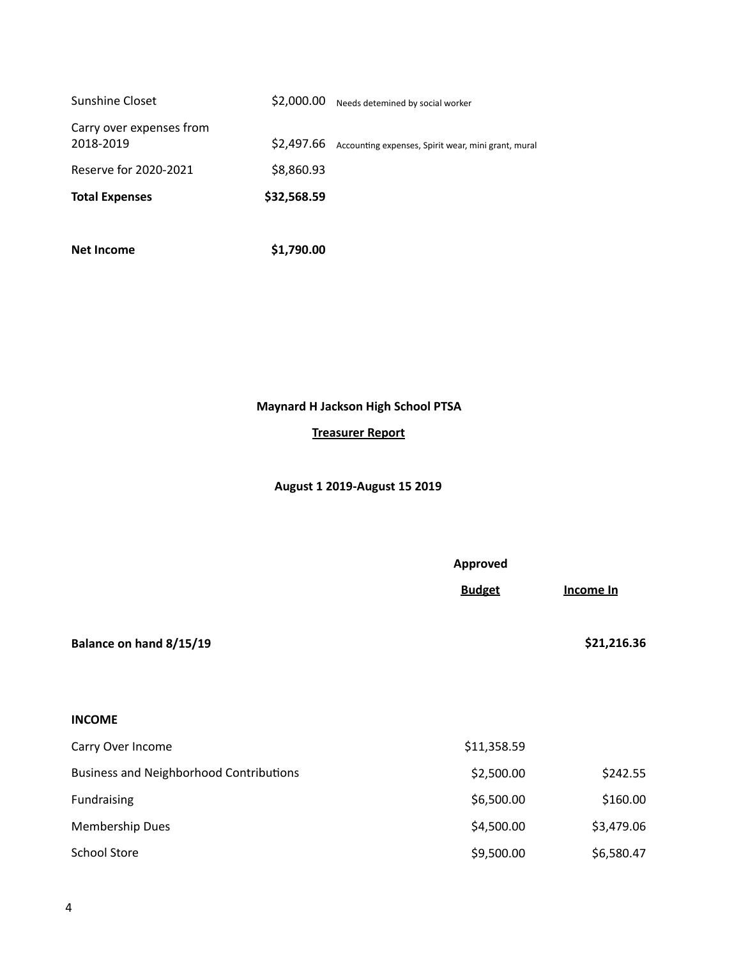| <b>Total Expenses</b>                 | \$32,568.59 |                                                     |
|---------------------------------------|-------------|-----------------------------------------------------|
| Reserve for 2020-2021                 | \$8,860.93  |                                                     |
| Carry over expenses from<br>2018-2019 | \$2,497.66  | Accounting expenses, Spirit wear, mini grant, mural |
| Sunshine Closet                       | \$2,000.00  | Needs detemined by social worker                    |

**Net Income \$1,790.00** 

**Maynard H Jackson High School PTSA**

#### **Treasurer Report**

#### **August 1 2019-August 15 2019**

| Balance on hand 8/15/19                        | Approved<br><b>Budget</b> | Income In<br>\$21,216.36 |
|------------------------------------------------|---------------------------|--------------------------|
| <b>INCOME</b>                                  |                           |                          |
| Carry Over Income                              | \$11,358.59               |                          |
| <b>Business and Neighborhood Contributions</b> | \$2,500.00                | \$242.55                 |
| Fundraising                                    | \$6,500.00                | \$160.00                 |
| <b>Membership Dues</b>                         | \$4,500.00                | \$3,479.06               |
| <b>School Store</b>                            | \$9,500.00                | \$6,580.47               |